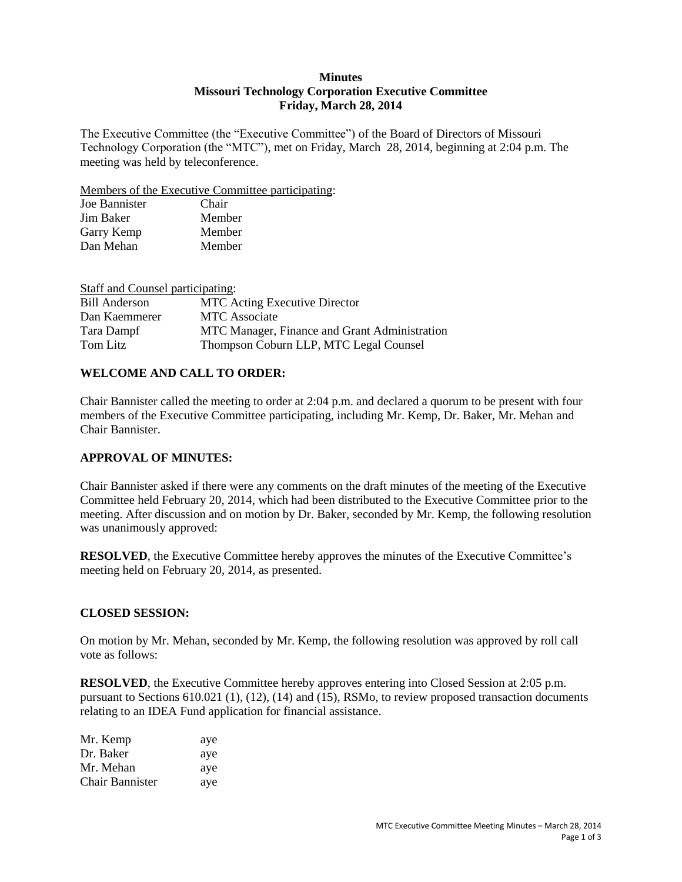### **Minutes Missouri Technology Corporation Executive Committee Friday, March 28, 2014**

The Executive Committee (the "Executive Committee") of the Board of Directors of Missouri Technology Corporation (the "MTC"), met on Friday, March 28, 2014, beginning at 2:04 p.m. The meeting was held by teleconference.

Members of the Executive Committee participating:

| Joe Bannister | Chair  |
|---------------|--------|
| Jim Baker     | Member |
| Garry Kemp    | Member |
| Dan Mehan     | Member |

| Staff and Counsel participating: |                                               |
|----------------------------------|-----------------------------------------------|
| <b>Bill Anderson</b>             | <b>MTC</b> Acting Executive Director          |
| Dan Kaemmerer                    | <b>MTC</b> Associate                          |
| Tara Dampf                       | MTC Manager, Finance and Grant Administration |
| Tom Litz                         | Thompson Coburn LLP, MTC Legal Counsel        |

## **WELCOME AND CALL TO ORDER:**

Chair Bannister called the meeting to order at 2:04 p.m. and declared a quorum to be present with four members of the Executive Committee participating, including Mr. Kemp, Dr. Baker, Mr. Mehan and Chair Bannister.

### **APPROVAL OF MINUTES:**

Chair Bannister asked if there were any comments on the draft minutes of the meeting of the Executive Committee held February 20, 2014, which had been distributed to the Executive Committee prior to the meeting. After discussion and on motion by Dr. Baker, seconded by Mr. Kemp, the following resolution was unanimously approved:

**RESOLVED**, the Executive Committee hereby approves the minutes of the Executive Committee's meeting held on February 20, 2014, as presented.

### **CLOSED SESSION:**

On motion by Mr. Mehan, seconded by Mr. Kemp, the following resolution was approved by roll call vote as follows:

**RESOLVED**, the Executive Committee hereby approves entering into Closed Session at 2:05 p.m. pursuant to Sections 610.021 (1), (12), (14) and (15), RSMo, to review proposed transaction documents relating to an IDEA Fund application for financial assistance.

| Mr. Kemp               | aye |
|------------------------|-----|
| Dr. Baker              | aye |
| Mr. Mehan              | aye |
| <b>Chair Bannister</b> | aye |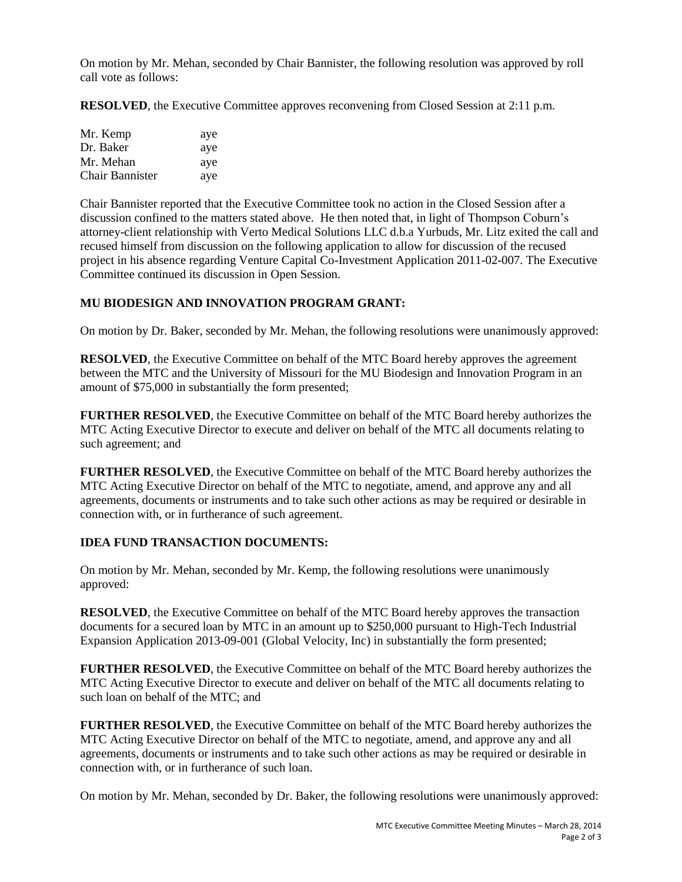On motion by Mr. Mehan, seconded by Chair Bannister, the following resolution was approved by roll call vote as follows:

**RESOLVED**, the Executive Committee approves reconvening from Closed Session at 2:11 p.m.

| Mr. Kemp               | aye |
|------------------------|-----|
| Dr. Baker              | aye |
| Mr. Mehan              | aye |
| <b>Chair Bannister</b> | aye |

Chair Bannister reported that the Executive Committee took no action in the Closed Session after a discussion confined to the matters stated above. He then noted that, in light of Thompson Coburn's attorney-client relationship with Verto Medical Solutions LLC d.b.a Yurbuds, Mr. Litz exited the call and recused himself from discussion on the following application to allow for discussion of the recused project in his absence regarding Venture Capital Co-Investment Application 2011-02-007. The Executive Committee continued its discussion in Open Session.

# **MU BIODESIGN AND INNOVATION PROGRAM GRANT:**

On motion by Dr. Baker, seconded by Mr. Mehan, the following resolutions were unanimously approved:

**RESOLVED**, the Executive Committee on behalf of the MTC Board hereby approves the agreement between the MTC and the University of Missouri for the MU Biodesign and Innovation Program in an amount of \$75,000 in substantially the form presented;

**FURTHER RESOLVED**, the Executive Committee on behalf of the MTC Board hereby authorizes the MTC Acting Executive Director to execute and deliver on behalf of the MTC all documents relating to such agreement; and

**FURTHER RESOLVED**, the Executive Committee on behalf of the MTC Board hereby authorizes the MTC Acting Executive Director on behalf of the MTC to negotiate, amend, and approve any and all agreements, documents or instruments and to take such other actions as may be required or desirable in connection with, or in furtherance of such agreement.

# **IDEA FUND TRANSACTION DOCUMENTS:**

On motion by Mr. Mehan, seconded by Mr. Kemp, the following resolutions were unanimously approved:

**RESOLVED**, the Executive Committee on behalf of the MTC Board hereby approves the transaction documents for a secured loan by MTC in an amount up to \$250,000 pursuant to High-Tech Industrial Expansion Application 2013-09-001 (Global Velocity, Inc) in substantially the form presented;

**FURTHER RESOLVED**, the Executive Committee on behalf of the MTC Board hereby authorizes the MTC Acting Executive Director to execute and deliver on behalf of the MTC all documents relating to such loan on behalf of the MTC; and

**FURTHER RESOLVED**, the Executive Committee on behalf of the MTC Board hereby authorizes the MTC Acting Executive Director on behalf of the MTC to negotiate, amend, and approve any and all agreements, documents or instruments and to take such other actions as may be required or desirable in connection with, or in furtherance of such loan.

On motion by Mr. Mehan, seconded by Dr. Baker, the following resolutions were unanimously approved: